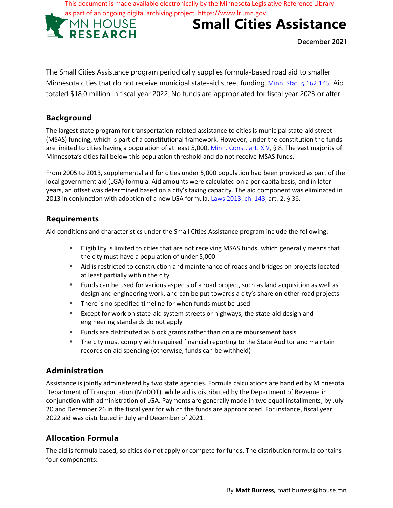This document is made available electronically by the Minnesota Legislative Reference Library



# **Small Cities Assistance**

**December 2021**

The Small Cities Assistance program periodically supplies formula-based road aid to smaller Minnesota cities that do not receive municipal state-aid street funding. Minn. Stat. § 162.145. Aid totaled \$18.0 million in fiscal year 2022. No funds are appropriated for fiscal year 2023 or after.

### **Background**

The largest state program for transportation-related assistance to cities is municipal state-aid street (MSAS) funding, which is part of a constitutional framework. However, under the constitution the funds are limited to cities having a population of at least 5,000. Minn. Const. art. XIV, § 8. The vast majority of Minnesota's cities fall below this population threshold and do not receive MSAS funds.

From 2005 to 2013, supplemental aid for cities under 5,000 population had been provided as part of the local government aid (LGA) formula. Aid amounts were calculated on a per capita basis, and in later years, an offset was determined based on a city's taxing capacity. The aid component was eliminated in 2013 in conjunction with adoption of a new LGA formula. Laws 2013, ch. 143, art. 2, § 36.

#### **Requirements**

Aid conditions and characteristics under the Small Cities Assistance program include the following:

- Eligibility is limited to cities that are not receiving MSAS funds, which generally means that the city must have a population of under 5,000
- Aid is restricted to construction and maintenance of roads and bridges on projects located at least partially within the city
- Funds can be used for various aspects of a road project, such as land acquisition as well as design and engineering work, and can be put towards a city's share on other road projects
- There is no specified timeline for when funds must be used
- Except for work on state-aid system streets or highways, the state-aid design and engineering standards do not apply
- Funds are distributed as block grants rather than on a reimbursement basis
- **The city must comply with required financial reporting to the State Auditor and maintain** records on aid spending (otherwise, funds can be withheld)

# **Administration**

Assistance is jointly administered by two state agencies. Formula calculations are handled by Minnesota Department of Transportation (MnDOT), while aid is distributed by the Department of Revenue in conjunction with administration of LGA. Payments are generally made in two equal installments, by July 20 and December 26 in the fiscal year for which the funds are appropriated. For instance, fiscal year 2022 aid was distributed in July and December of 2021.

# **Allocation Formula**

The aid is formula based, so cities do not apply or compete for funds. The distribution formula contains four components: